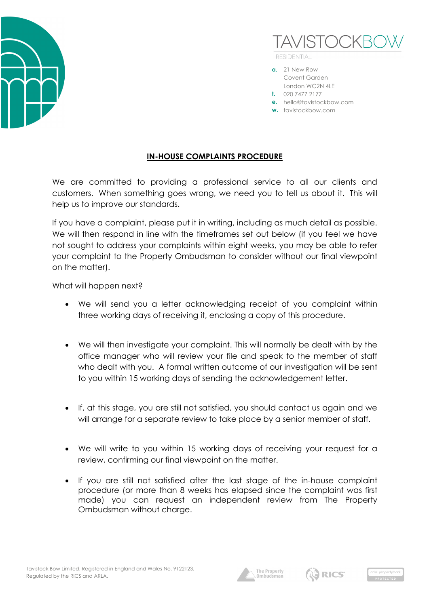



**RESIDENTIAL** 

- **a.** 21 New Row Covent Garden London WC2N 4LE
- **t.** 020 7477 2177
- **e.** hello@tavistockbow.com
- **w.** tavistockbow.com

## **IN-HOUSE COMPLAINTS PROCEDURE**

We are committed to providing a professional service to all our clients and customers. When something goes wrong, we need you to tell us about it. This will help us to improve our standards.

If you have a complaint, please put it in writing, including as much detail as possible. We will then respond in line with the timeframes set out below (if you feel we have not sought to address your complaints within eight weeks, you may be able to refer your complaint to the Property Ombudsman to consider without our final viewpoint on the matter).

What will happen next?

- We will send you a letter acknowledging receipt of you complaint within three working days of receiving it, enclosing a copy of this procedure.
- We will then investigate your complaint. This will normally be dealt with by the office manager who will review your file and speak to the member of staff who dealt with you. A formal written outcome of our investigation will be sent to you within 15 working days of sending the acknowledgement letter.
- If, at this stage, you are still not satisfied, you should contact us again and we will arrange for a separate review to take place by a senior member of staff.
- We will write to you within 15 working days of receiving your request for a review, confirming our final viewpoint on the matter.
- If you are still not satisfied after the last stage of the in-house complaint procedure (or more than 8 weeks has elapsed since the complaint was first made) you can request an independent review from The Property Ombudsman without charge.